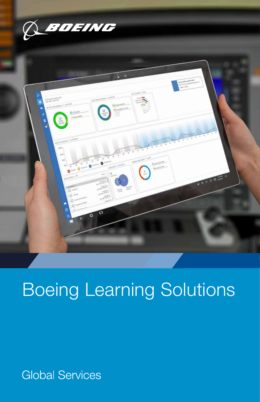



# Boeing Learning Solutions

**Global Services**